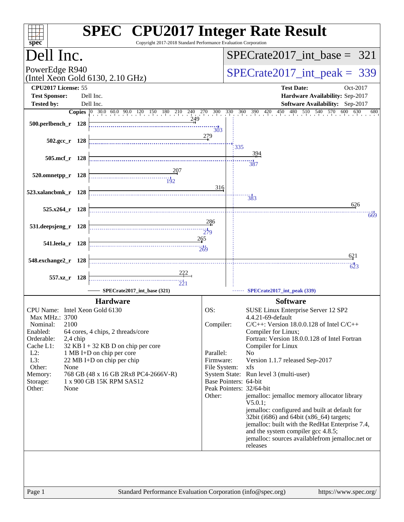| spec <sup>®</sup>                                                                                                                                                                                   | <b>SPEC<sup>®</sup></b> CPU2017 Integer Rate Result<br>Copyright 2017-2018 Standard Performance Evaluation Corporation                                                                                 |                                                                                               |                                 |                                                                                                                                                                                                                                                                                                                                                                                                                                                                                                                                                                                                                                             |  |  |  |
|-----------------------------------------------------------------------------------------------------------------------------------------------------------------------------------------------------|--------------------------------------------------------------------------------------------------------------------------------------------------------------------------------------------------------|-----------------------------------------------------------------------------------------------|---------------------------------|---------------------------------------------------------------------------------------------------------------------------------------------------------------------------------------------------------------------------------------------------------------------------------------------------------------------------------------------------------------------------------------------------------------------------------------------------------------------------------------------------------------------------------------------------------------------------------------------------------------------------------------------|--|--|--|
| Dell Inc.                                                                                                                                                                                           |                                                                                                                                                                                                        | $SPECrate2017\_int\_base = 321$                                                               |                                 |                                                                                                                                                                                                                                                                                                                                                                                                                                                                                                                                                                                                                                             |  |  |  |
| PowerEdge R940<br>(Intel Xeon Gold 6130, 2.10 GHz)                                                                                                                                                  |                                                                                                                                                                                                        |                                                                                               | $SPECrate2017\_int\_peak = 339$ |                                                                                                                                                                                                                                                                                                                                                                                                                                                                                                                                                                                                                                             |  |  |  |
| CPU2017 License: 55<br><b>Test Sponsor:</b><br><b>Tested by:</b>                                                                                                                                    | Dell Inc.<br>Dell Inc.                                                                                                                                                                                 |                                                                                               |                                 | <b>Test Date:</b><br>Oct-2017<br>Hardware Availability: Sep-2017<br>Software Availability: Sep-2017                                                                                                                                                                                                                                                                                                                                                                                                                                                                                                                                         |  |  |  |
| 500.perlbench_r 128                                                                                                                                                                                 | <b>Copies</b> 0 30.0 60.0 90.0 120 150 180 210 240 270 300 330 360 390 420<br>249                                                                                                                      | 303                                                                                           |                                 | 480 510 540 570 600<br>450<br>630<br>680                                                                                                                                                                                                                                                                                                                                                                                                                                                                                                                                                                                                    |  |  |  |
| $502.\text{gcc r}$ 128                                                                                                                                                                              |                                                                                                                                                                                                        | 279                                                                                           | 335                             |                                                                                                                                                                                                                                                                                                                                                                                                                                                                                                                                                                                                                                             |  |  |  |
| 505.mcf_r 128                                                                                                                                                                                       |                                                                                                                                                                                                        |                                                                                               |                                 | 394<br>--<br>387                                                                                                                                                                                                                                                                                                                                                                                                                                                                                                                                                                                                                            |  |  |  |
| 520.omnetpp_r 128<br>523.xalancbmk_r 128                                                                                                                                                            | $\frac{11}{192}$                                                                                                                                                                                       | 316                                                                                           |                                 |                                                                                                                                                                                                                                                                                                                                                                                                                                                                                                                                                                                                                                             |  |  |  |
| 525.x264_r 128                                                                                                                                                                                      |                                                                                                                                                                                                        |                                                                                               |                                 | $\frac{11}{383}$<br>626<br>669                                                                                                                                                                                                                                                                                                                                                                                                                                                                                                                                                                                                              |  |  |  |
| 531.deepsjeng_r 128                                                                                                                                                                                 |                                                                                                                                                                                                        | 286<br>279                                                                                    |                                 |                                                                                                                                                                                                                                                                                                                                                                                                                                                                                                                                                                                                                                             |  |  |  |
| 541.leela_r 128                                                                                                                                                                                     | 265                                                                                                                                                                                                    | 269                                                                                           |                                 | 621                                                                                                                                                                                                                                                                                                                                                                                                                                                                                                                                                                                                                                         |  |  |  |
| 548.exchange2_r 128<br>557.xz_r 128                                                                                                                                                                 |                                                                                                                                                                                                        |                                                                                               |                                 | $\overline{623}$                                                                                                                                                                                                                                                                                                                                                                                                                                                                                                                                                                                                                            |  |  |  |
|                                                                                                                                                                                                     | SPECrate2017_int_base (321)<br><b>Hardware</b>                                                                                                                                                         |                                                                                               |                                 | SPECrate2017_int_peak (339)<br><b>Software</b>                                                                                                                                                                                                                                                                                                                                                                                                                                                                                                                                                                                              |  |  |  |
| CPU Name: Intel Xeon Gold 6130<br>Max MHz.: 3700<br>2100<br>Nominal:<br>Enabled:<br>2,4 chip<br>Orderable:<br>Cache L1:<br>$L2$ :<br>L3:<br>Other:<br>None<br>Memory:<br>Storage:<br>Other:<br>None | 64 cores, 4 chips, 2 threads/core<br>32 KB I + 32 KB D on chip per core<br>1 MB I+D on chip per core<br>22 MB I+D on chip per chip<br>768 GB (48 x 16 GB 2Rx8 PC4-2666V-R)<br>1 x 900 GB 15K RPM SAS12 | OS:<br>Compiler:<br>Parallel:<br>Firmware:<br>File System:<br>Base Pointers: 64-bit<br>Other: |                                 | SUSE Linux Enterprise Server 12 SP2<br>4.4.21-69-default<br>$C/C++$ : Version 18.0.0.128 of Intel $C/C++$<br>Compiler for Linux;<br>Fortran: Version 18.0.0.128 of Intel Fortran<br>Compiler for Linux<br>No<br>Version 1.1.7 released Sep-2017<br>xfs<br>System State: Run level 3 (multi-user)<br>Peak Pointers: 32/64-bit<br>jemalloc: jemalloc memory allocator library<br>V5.0.1:<br>jemalloc: configured and built at default for<br>32bit (i686) and 64bit (x86_64) targets;<br>jemalloc: built with the RedHat Enterprise 7.4,<br>and the system compiler gcc 4.8.5;<br>jemalloc: sources availablefrom jemalloc.net or<br>releases |  |  |  |
|                                                                                                                                                                                                     |                                                                                                                                                                                                        |                                                                                               |                                 |                                                                                                                                                                                                                                                                                                                                                                                                                                                                                                                                                                                                                                             |  |  |  |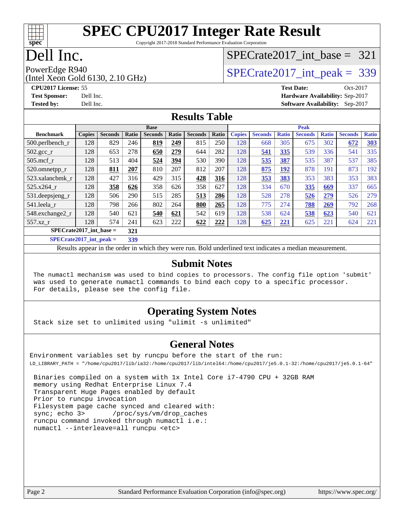

Copyright 2017-2018 Standard Performance Evaluation Corporation

### Dell Inc.

### [SPECrate2017\\_int\\_base =](http://www.spec.org/auto/cpu2017/Docs/result-fields.html#SPECrate2017intbase) 321

(Intel Xeon Gold 6130, 2.10 GHz)

PowerEdge R940<br>(Intel Year Gold 6130, 2.10 GHz) [SPECrate2017\\_int\\_peak =](http://www.spec.org/auto/cpu2017/Docs/result-fields.html#SPECrate2017intpeak) 339

**[CPU2017 License:](http://www.spec.org/auto/cpu2017/Docs/result-fields.html#CPU2017License)** 55 **[Test Date:](http://www.spec.org/auto/cpu2017/Docs/result-fields.html#TestDate)** Oct-2017 **[Test Sponsor:](http://www.spec.org/auto/cpu2017/Docs/result-fields.html#TestSponsor)** Dell Inc. **[Hardware Availability:](http://www.spec.org/auto/cpu2017/Docs/result-fields.html#HardwareAvailability)** Sep-2017 **[Tested by:](http://www.spec.org/auto/cpu2017/Docs/result-fields.html#Testedby)** Dell Inc. **[Software Availability:](http://www.spec.org/auto/cpu2017/Docs/result-fields.html#SoftwareAvailability)** Sep-2017

#### **[Results Table](http://www.spec.org/auto/cpu2017/Docs/result-fields.html#ResultsTable)**

|                           |               |                |       | <b>Base</b>    |       |                |       |               |                |              | <b>Peak</b>    |              |                |              |
|---------------------------|---------------|----------------|-------|----------------|-------|----------------|-------|---------------|----------------|--------------|----------------|--------------|----------------|--------------|
| <b>Benchmark</b>          | <b>Copies</b> | <b>Seconds</b> | Ratio | <b>Seconds</b> | Ratio | <b>Seconds</b> | Ratio | <b>Copies</b> | <b>Seconds</b> | <b>Ratio</b> | <b>Seconds</b> | <b>Ratio</b> | <b>Seconds</b> | <b>Ratio</b> |
| $500.$ perlbench_r        | 128           | 829            | 246   | 819            | 249   | 815            | 250   | 128           | 668            | 305          | 675            | 302          | 672            | 303          |
| $502.\text{sec}$          | 128           | 653            | 278   | 650            | 279   | 644            | 282   | 128           | 541            | 335          | 539            | 336          | 541            | 335          |
| $505$ .mcf r              | 128           | 513            | 404   | 524            | 394   | 530            | 390   | 128           | 535            | 387          | 535            | 387          | 537            | 385          |
| 520.omnetpp_r             | 128           | 811            | 207   | 810            | 207   | 812            | 207   | 128           | 875            | <u> 192</u>  | 878            | 191          | 873            | 192          |
| 523.xalancbmk r           | 128           | 427            | 316   | 429            | 315   | 428            | 316   | 128           | 353            | 383          | 353            | 383          | 353            | 383          |
| 525.x264 r                | 128           | 358            | 626   | 358            | 626   | 358            | 627   | 128           | 334            | 670          | 335            | 669          | 337            | 665          |
| 531.deepsjeng_r           | 128           | 506            | 290   | 515            | 285   | 513            | 286   | 128           | 528            | 278          | 526            | 279          | 526            | 279          |
| 541.leela_r               | 128           | 798            | 266   | 802            | 264   | 800            | 265   | 128           | 775            | 274          | 788            | 269          | 792            | 268          |
| 548.exchange2_r           | 128           | 540            | 621   | 540            | 621   | 542            | 619   | 128           | 538            | 624          | 538            | 623          | 540            | 621          |
| 557.xz r                  | 128           | 574            | 241   | 623            | 222   | 622            | 222   | 128           | 625            | 221          | 625            | 221          | 624            | 221          |
| $SPECrate2017$ int base = |               | 321            |       |                |       |                |       |               |                |              |                |              |                |              |
| $SPECrate2017$ int peak = |               |                | 339   |                |       |                |       |               |                |              |                |              |                |              |

Results appear in the [order in which they were run](http://www.spec.org/auto/cpu2017/Docs/result-fields.html#RunOrder). Bold underlined text [indicates a median measurement](http://www.spec.org/auto/cpu2017/Docs/result-fields.html#Median).

#### **[Submit Notes](http://www.spec.org/auto/cpu2017/Docs/result-fields.html#SubmitNotes)**

 The numactl mechanism was used to bind copies to processors. The config file option 'submit' was used to generate numactl commands to bind each copy to a specific processor. For details, please see the config file.

#### **[Operating System Notes](http://www.spec.org/auto/cpu2017/Docs/result-fields.html#OperatingSystemNotes)**

Stack size set to unlimited using "ulimit -s unlimited"

#### **[General Notes](http://www.spec.org/auto/cpu2017/Docs/result-fields.html#GeneralNotes)**

Environment variables set by runcpu before the start of the run: LD\_LIBRARY\_PATH = "/home/cpu2017/lib/ia32:/home/cpu2017/lib/intel64:/home/cpu2017/je5.0.1-32:/home/cpu2017/je5.0.1-64"

 Binaries compiled on a system with 1x Intel Core i7-4790 CPU + 32GB RAM memory using Redhat Enterprise Linux 7.4 Transparent Huge Pages enabled by default Prior to runcpu invocation Filesystem page cache synced and cleared with: sync; echo 3> /proc/sys/vm/drop\_caches runcpu command invoked through numactl i.e.: numactl --interleave=all runcpu <etc>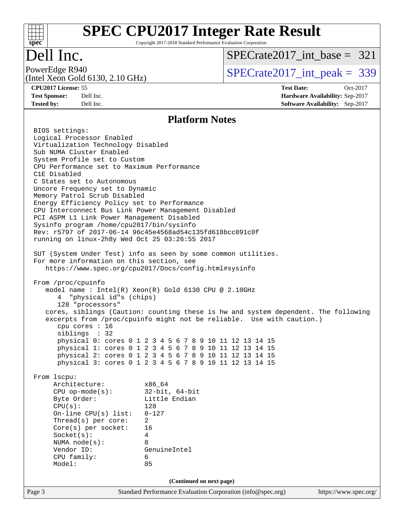

Copyright 2017-2018 Standard Performance Evaluation Corporation

### Dell Inc.

(Intel Xeon Gold 6130, 2.10 GHz)

[SPECrate2017\\_int\\_base =](http://www.spec.org/auto/cpu2017/Docs/result-fields.html#SPECrate2017intbase) 321

PowerEdge R940<br>  $SPECTate2017$ \_int\_peak = 339

**[CPU2017 License:](http://www.spec.org/auto/cpu2017/Docs/result-fields.html#CPU2017License)** 55 **[Test Date:](http://www.spec.org/auto/cpu2017/Docs/result-fields.html#TestDate)** Oct-2017 **[Test Sponsor:](http://www.spec.org/auto/cpu2017/Docs/result-fields.html#TestSponsor)** Dell Inc. **[Hardware Availability:](http://www.spec.org/auto/cpu2017/Docs/result-fields.html#HardwareAvailability)** Sep-2017 **[Tested by:](http://www.spec.org/auto/cpu2017/Docs/result-fields.html#Testedby)** Dell Inc. **[Software Availability:](http://www.spec.org/auto/cpu2017/Docs/result-fields.html#SoftwareAvailability)** Sep-2017

#### **[Platform Notes](http://www.spec.org/auto/cpu2017/Docs/result-fields.html#PlatformNotes)**

Page 3 Standard Performance Evaluation Corporation [\(info@spec.org\)](mailto:info@spec.org) <https://www.spec.org/> BIOS settings: Logical Processor Enabled Virtualization Technology Disabled Sub NUMA Cluster Enabled System Profile set to Custom CPU Performance set to Maximum Performance C1E Disabled C States set to Autonomous Uncore Frequency set to Dynamic Memory Patrol Scrub Disabled Energy Efficiency Policy set to Performance CPU Interconnect Bus Link Power Management Disabled PCI ASPM L1 Link Power Management Disabled Sysinfo program /home/cpu2017/bin/sysinfo Rev: r5797 of 2017-06-14 96c45e4568ad54c135fd618bcc091c0f running on linux-2h8y Wed Oct 25 03:26:55 2017 SUT (System Under Test) info as seen by some common utilities. For more information on this section, see <https://www.spec.org/cpu2017/Docs/config.html#sysinfo> From /proc/cpuinfo model name : Intel(R) Xeon(R) Gold 6130 CPU @ 2.10GHz 4 "physical id"s (chips) 128 "processors" cores, siblings (Caution: counting these is hw and system dependent. The following excerpts from /proc/cpuinfo might not be reliable. Use with caution.) cpu cores : 16 siblings : 32 physical 0: cores 0 1 2 3 4 5 6 7 8 9 10 11 12 13 14 15 physical 1: cores 0 1 2 3 4 5 6 7 8 9 10 11 12 13 14 15 physical 2: cores 0 1 2 3 4 5 6 7 8 9 10 11 12 13 14 15 physical 3: cores 0 1 2 3 4 5 6 7 8 9 10 11 12 13 14 15 From lscpu: Architecture: x86\_64 CPU op-mode(s): 32-bit, 64-bit Byte Order: Little Endian CPU(s): 128 On-line CPU(s) list: 0-127 Thread(s) per core: 2 Core(s) per socket: 16 Socket(s): 4 NUMA node(s): 8 Vendor ID: GenuineIntel CPU family: 6 Model: 85 **(Continued on next page)**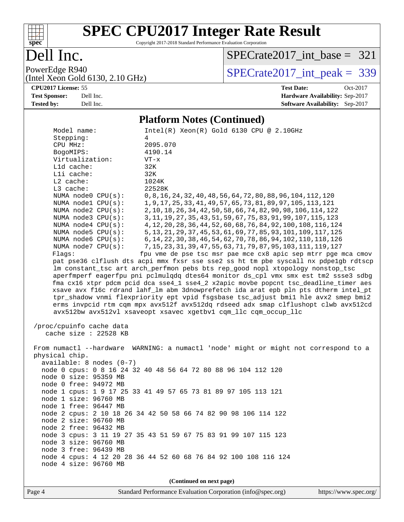

Copyright 2017-2018 Standard Performance Evaluation Corporation

### Dell Inc.

[SPECrate2017\\_int\\_base =](http://www.spec.org/auto/cpu2017/Docs/result-fields.html#SPECrate2017intbase) 321

PowerEdge R940<br>(Intel Xeon Gold 6130, 2.10 GHz)

 $SPECTate 2017\_int\_peak = 339$ 

#### **[CPU2017 License:](http://www.spec.org/auto/cpu2017/Docs/result-fields.html#CPU2017License)** 55 **[Test Date:](http://www.spec.org/auto/cpu2017/Docs/result-fields.html#TestDate)** Oct-2017 **[Test Sponsor:](http://www.spec.org/auto/cpu2017/Docs/result-fields.html#TestSponsor)** Dell Inc. **[Hardware Availability:](http://www.spec.org/auto/cpu2017/Docs/result-fields.html#HardwareAvailability)** Sep-2017 **[Tested by:](http://www.spec.org/auto/cpu2017/Docs/result-fields.html#Testedby)** Dell Inc. **[Software Availability:](http://www.spec.org/auto/cpu2017/Docs/result-fields.html#SoftwareAvailability)** Sep-2017

#### **[Platform Notes \(Continued\)](http://www.spec.org/auto/cpu2017/Docs/result-fields.html#PlatformNotes)**

| /proc/cpuinfo cache data<br>cache size : 22528 KB<br>physical chip.<br>$available: 8 nodes (0-7)$<br>node 0 size: 95359 MB<br>node 0 free: 94972 MB | avx512bw avx512vl xsaveopt xsavec xgetbvl cqm_llc cqm_occup_llc<br>From numactl --hardware WARNING: a numactl 'node' might or might not correspond to a<br>node 0 cpus: 0 8 16 24 32 40 48 56 64 72 80 88 96 104 112 120<br>node 1 cpus: 1 9 17 25 33 41 49 57 65 73 81 89 97 105 113 121 |
|-----------------------------------------------------------------------------------------------------------------------------------------------------|-------------------------------------------------------------------------------------------------------------------------------------------------------------------------------------------------------------------------------------------------------------------------------------------|
| node 1 size: 96760 MB                                                                                                                               |                                                                                                                                                                                                                                                                                           |
|                                                                                                                                                     |                                                                                                                                                                                                                                                                                           |
|                                                                                                                                                     |                                                                                                                                                                                                                                                                                           |
|                                                                                                                                                     |                                                                                                                                                                                                                                                                                           |
|                                                                                                                                                     |                                                                                                                                                                                                                                                                                           |
|                                                                                                                                                     |                                                                                                                                                                                                                                                                                           |
|                                                                                                                                                     |                                                                                                                                                                                                                                                                                           |
|                                                                                                                                                     |                                                                                                                                                                                                                                                                                           |
|                                                                                                                                                     |                                                                                                                                                                                                                                                                                           |
|                                                                                                                                                     |                                                                                                                                                                                                                                                                                           |
|                                                                                                                                                     |                                                                                                                                                                                                                                                                                           |
|                                                                                                                                                     |                                                                                                                                                                                                                                                                                           |
|                                                                                                                                                     | tpr_shadow vnmi flexpriority ept vpid fsgsbase tsc_adjust bmil hle avx2 smep bmi2<br>erms invpcid rtm cqm mpx avx512f avx512dq rdseed adx smap clflushopt clwb avx512cd                                                                                                                   |
|                                                                                                                                                     | xsave avx f16c rdrand lahf_lm abm 3dnowprefetch ida arat epb pln pts dtherm intel_pt                                                                                                                                                                                                      |
|                                                                                                                                                     | fma cx16 xtpr pdcm pcid dca sse4_1 sse4_2 x2apic movbe popcnt tsc_deadline_timer aes                                                                                                                                                                                                      |
|                                                                                                                                                     | aperfmperf eagerfpu pni pclmulqdq dtes64 monitor ds_cpl vmx smx est tm2 ssse3 sdbg                                                                                                                                                                                                        |
|                                                                                                                                                     | lm constant_tsc art arch_perfmon pebs bts rep_good nopl xtopology nonstop_tsc                                                                                                                                                                                                             |
|                                                                                                                                                     | pat pse36 clflush dts acpi mmx fxsr sse sse2 ss ht tm pbe syscall nx pdpelgb rdtscp                                                                                                                                                                                                       |
| Flags:                                                                                                                                              | fpu vme de pse tsc msr pae mce cx8 apic sep mtrr pge mca cmov                                                                                                                                                                                                                             |
| NUMA node7 CPU(s):                                                                                                                                  | 7, 15, 23, 31, 39, 47, 55, 63, 71, 79, 87, 95, 103, 111, 119, 127                                                                                                                                                                                                                         |
| NUMA node6 CPU(s):                                                                                                                                  | 6, 14, 22, 30, 38, 46, 54, 62, 70, 78, 86, 94, 102, 110, 118, 126                                                                                                                                                                                                                         |
| NUMA $node5$ $CPU(s):$                                                                                                                              | 5, 13, 21, 29, 37, 45, 53, 61, 69, 77, 85, 93, 101, 109, 117, 125                                                                                                                                                                                                                         |
| NUMA node4 CPU(s):                                                                                                                                  | 3, 11, 19, 27, 35, 43, 51, 59, 67, 75, 83, 91, 99, 107, 115, 123<br>4, 12, 20, 28, 36, 44, 52, 60, 68, 76, 84, 92, 100, 108, 116, 124                                                                                                                                                     |
| NUMA node2 CPU(s):<br>NUMA node3 CPU(s):                                                                                                            | 2, 10, 18, 26, 34, 42, 50, 58, 66, 74, 82, 90, 98, 106, 114, 122                                                                                                                                                                                                                          |
|                                                                                                                                                     | 1, 9, 17, 25, 33, 41, 49, 57, 65, 73, 81, 89, 97, 105, 113, 121                                                                                                                                                                                                                           |
| NUMA node0 CPU(s):<br>NUMA nodel CPU(s):                                                                                                            | 0, 8, 16, 24, 32, 40, 48, 56, 64, 72, 80, 88, 96, 104, 112, 120                                                                                                                                                                                                                           |
| L3 cache:                                                                                                                                           | 22528K                                                                                                                                                                                                                                                                                    |
| $L2$ cache:                                                                                                                                         | 1024K                                                                                                                                                                                                                                                                                     |
| Lli cache:                                                                                                                                          | 32K                                                                                                                                                                                                                                                                                       |
| L1d cache:                                                                                                                                          | 32K                                                                                                                                                                                                                                                                                       |
| Virtualization:                                                                                                                                     | $VT - x$                                                                                                                                                                                                                                                                                  |
| BogoMIPS:                                                                                                                                           | 4190.14                                                                                                                                                                                                                                                                                   |
| CPU MHz:                                                                                                                                            | 2095.070                                                                                                                                                                                                                                                                                  |
|                                                                                                                                                     | 4                                                                                                                                                                                                                                                                                         |
| Stepping:                                                                                                                                           | $Intel(R) Xeon(R) Gold 6130 CPU @ 2.10GHz$                                                                                                                                                                                                                                                |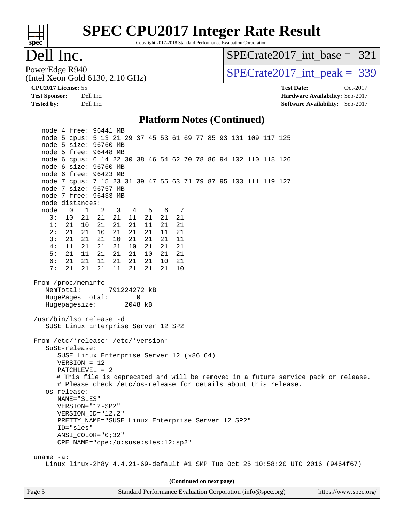

Copyright 2017-2018 Standard Performance Evaluation Corporation

### Dell Inc.

[SPECrate2017\\_int\\_base =](http://www.spec.org/auto/cpu2017/Docs/result-fields.html#SPECrate2017intbase) 321

(Intel Xeon Gold 6130, 2.10 GHz)

PowerEdge R940<br>  $SPECTate2017$ \_int\_peak = 339

**[CPU2017 License:](http://www.spec.org/auto/cpu2017/Docs/result-fields.html#CPU2017License)** 55 **[Test Date:](http://www.spec.org/auto/cpu2017/Docs/result-fields.html#TestDate)** Oct-2017 **[Test Sponsor:](http://www.spec.org/auto/cpu2017/Docs/result-fields.html#TestSponsor)** Dell Inc. **[Hardware Availability:](http://www.spec.org/auto/cpu2017/Docs/result-fields.html#HardwareAvailability)** Sep-2017 **[Tested by:](http://www.spec.org/auto/cpu2017/Docs/result-fields.html#Testedby)** Dell Inc. **[Software Availability:](http://www.spec.org/auto/cpu2017/Docs/result-fields.html#SoftwareAvailability)** Sep-2017

#### **[Platform Notes \(Continued\)](http://www.spec.org/auto/cpu2017/Docs/result-fields.html#PlatformNotes)**

 node 4 free: 96441 MB node 5 cpus: 5 13 21 29 37 45 53 61 69 77 85 93 101 109 117 125 node 5 size: 96760 MB node 5 free: 96448 MB node 6 cpus: 6 14 22 30 38 46 54 62 70 78 86 94 102 110 118 126 node 6 size: 96760 MB node 6 free: 96423 MB node 7 cpus: 7 15 23 31 39 47 55 63 71 79 87 95 103 111 119 127 node 7 size: 96757 MB node 7 free: 96433 MB node distances: node 0 1 2 3 4 5 6 7 0: 10 21 21 21 11 21 21 21 1: 21 10 21 21 21 11 21 21 2: 21 21 10 21 21 21 11 21 3: 21 21 21 10 21 21 21 11 4: 11 21 21 21 10 21 21 21 5: 21 11 21 21 21 10 21 21 6: 21 21 11 21 21 21 10 21 7: 21 21 21 11 21 21 21 10 From /proc/meminfo MemTotal: 791224272 kB HugePages Total: 0 Hugepagesize: 2048 kB /usr/bin/lsb\_release -d SUSE Linux Enterprise Server 12 SP2 From /etc/\*release\* /etc/\*version\* SuSE-release: SUSE Linux Enterprise Server 12 (x86\_64) VERSION = 12 PATCHLEVEL = 2 # This file is deprecated and will be removed in a future service pack or release. # Please check /etc/os-release for details about this release. os-release: NAME="SLES" VERSION="12-SP2" VERSION\_ID="12.2" PRETTY\_NAME="SUSE Linux Enterprise Server 12 SP2" ID="sles" ANSI\_COLOR="0;32" CPE\_NAME="cpe:/o:suse:sles:12:sp2" uname -a: Linux linux-2h8y 4.4.21-69-default #1 SMP Tue Oct 25 10:58:20 UTC 2016 (9464f67) **(Continued on next page)**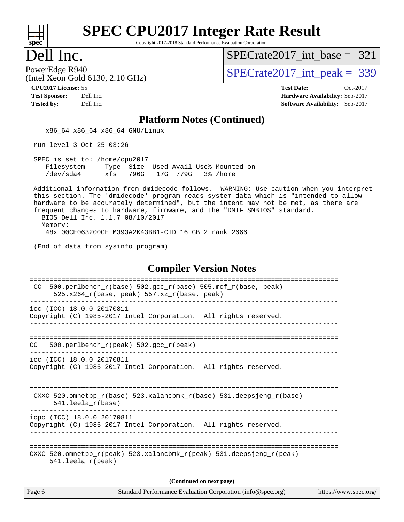

Copyright 2017-2018 Standard Performance Evaluation Corporation

#### Dell Inc.

[SPECrate2017\\_int\\_base =](http://www.spec.org/auto/cpu2017/Docs/result-fields.html#SPECrate2017intbase) 321

(Intel Xeon Gold 6130, 2.10 GHz)

PowerEdge R940<br>(Intel Xeon Gold 6130, 2.10 GHz)  $\text{SPECrate2017\_int\_peak} = 339$ 

**[CPU2017 License:](http://www.spec.org/auto/cpu2017/Docs/result-fields.html#CPU2017License)** 55 **[Test Date:](http://www.spec.org/auto/cpu2017/Docs/result-fields.html#TestDate)** Oct-2017 **[Test Sponsor:](http://www.spec.org/auto/cpu2017/Docs/result-fields.html#TestSponsor)** Dell Inc. **[Hardware Availability:](http://www.spec.org/auto/cpu2017/Docs/result-fields.html#HardwareAvailability)** Sep-2017 **[Tested by:](http://www.spec.org/auto/cpu2017/Docs/result-fields.html#Testedby)** Dell Inc. **[Software Availability:](http://www.spec.org/auto/cpu2017/Docs/result-fields.html#SoftwareAvailability)** Sep-2017

#### **[Platform Notes \(Continued\)](http://www.spec.org/auto/cpu2017/Docs/result-fields.html#PlatformNotes)**

x86\_64 x86\_64 x86\_64 GNU/Linux

run-level 3 Oct 25 03:26

 SPEC is set to: /home/cpu2017 Filesystem Type Size Used Avail Use% Mounted on /dev/sda4 xfs 796G 17G 779G 3% /home

 Additional information from dmidecode follows. WARNING: Use caution when you interpret this section. The 'dmidecode' program reads system data which is "intended to allow hardware to be accurately determined", but the intent may not be met, as there are frequent changes to hardware, firmware, and the "DMTF SMBIOS" standard. BIOS Dell Inc. 1.1.7 08/10/2017

Memory:

48x 00CE063200CE M393A2K43BB1-CTD 16 GB 2 rank 2666

(End of data from sysinfo program)

#### **[Compiler Version Notes](http://www.spec.org/auto/cpu2017/Docs/result-fields.html#CompilerVersionNotes)**

| 500.perlbench_r(base) 502.gcc_r(base) 505.mcf_r(base, peak)<br>CC.<br>$525.x264$ r(base, peak) $557.xz$ r(base, peak)   |
|-------------------------------------------------------------------------------------------------------------------------|
| icc (ICC) 18.0.0 20170811                                                                                               |
| Copyright (C) 1985-2017 Intel Corporation. All rights reserved.                                                         |
|                                                                                                                         |
|                                                                                                                         |
| 500.perlbench $r(\text{peak})$ 502.gcc $r(\text{peak})$<br>CC.                                                          |
| icc (ICC) 18.0.0 20170811                                                                                               |
| Copyright (C) 1985-2017 Intel Corporation. All rights reserved.                                                         |
|                                                                                                                         |
|                                                                                                                         |
| CXXC 520.omnetpp $r(base)$ 523.xalancbmk $r(base)$ 531.deepsjeng $r(base)$<br>$541.$ leela $r(base)$                    |
| icpc (ICC) 18.0.0 20170811                                                                                              |
| Copyright (C) 1985-2017 Intel Corporation. All rights reserved.                                                         |
|                                                                                                                         |
|                                                                                                                         |
| CXXC 520.omnetpp $r(\text{peak})$ 523.xalancbmk $r(\text{peak})$ 531.deepsjeng $r(\text{peak})$<br>$541.$ leela r(peak) |
|                                                                                                                         |
| (Continued on next page)                                                                                                |

Page 6 Standard Performance Evaluation Corporation [\(info@spec.org\)](mailto:info@spec.org) <https://www.spec.org/>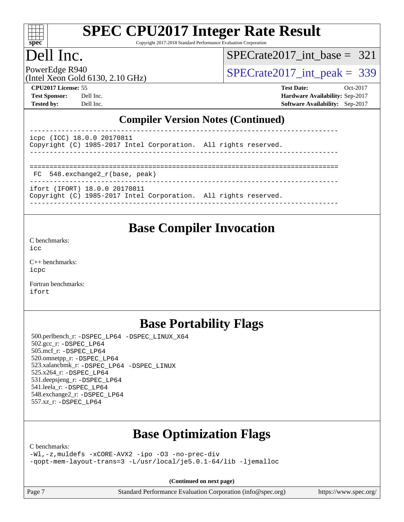

Copyright 2017-2018 Standard Performance Evaluation Corporation

#### Dell Inc.

[SPECrate2017\\_int\\_base =](http://www.spec.org/auto/cpu2017/Docs/result-fields.html#SPECrate2017intbase) 321

(Intel Xeon Gold 6130, 2.10 GHz)

PowerEdge R940<br>(Intel Year Gold 6130, 2.10 GHz)  $SPECTate2017\_int\_peak = 339$ 

**[CPU2017 License:](http://www.spec.org/auto/cpu2017/Docs/result-fields.html#CPU2017License)** 55 **[Test Date:](http://www.spec.org/auto/cpu2017/Docs/result-fields.html#TestDate)** Oct-2017 **[Test Sponsor:](http://www.spec.org/auto/cpu2017/Docs/result-fields.html#TestSponsor)** Dell Inc. **[Hardware Availability:](http://www.spec.org/auto/cpu2017/Docs/result-fields.html#HardwareAvailability)** Sep-2017 **[Tested by:](http://www.spec.org/auto/cpu2017/Docs/result-fields.html#Testedby)** Dell Inc. **[Software Availability:](http://www.spec.org/auto/cpu2017/Docs/result-fields.html#SoftwareAvailability)** Sep-2017

#### **[Compiler Version Notes \(Continued\)](http://www.spec.org/auto/cpu2017/Docs/result-fields.html#CompilerVersionNotes)**

----------------------------------------------------------------------------- icpc (ICC) 18.0.0 20170811 Copyright (C) 1985-2017 Intel Corporation. All rights reserved. ------------------------------------------------------------------------------ ============================================================================== FC 548.exchange2\_r(base, peak) ------------------------------------------------------------------------------

ifort (IFORT) 18.0.0 20170811

Copyright (C) 1985-2017 Intel Corporation. All rights reserved. ------------------------------------------------------------------------------

# **[Base Compiler Invocation](http://www.spec.org/auto/cpu2017/Docs/result-fields.html#BaseCompilerInvocation)**

[C benchmarks](http://www.spec.org/auto/cpu2017/Docs/result-fields.html#Cbenchmarks):  $i$ cc

[C++ benchmarks:](http://www.spec.org/auto/cpu2017/Docs/result-fields.html#CXXbenchmarks) [icpc](http://www.spec.org/cpu2017/results/res2017q4/cpu2017-20171114-00622.flags.html#user_CXXbase_intel_icpc_18.0_c510b6838c7f56d33e37e94d029a35b4a7bccf4766a728ee175e80a419847e808290a9b78be685c44ab727ea267ec2f070ec5dc83b407c0218cded6866a35d07)

[Fortran benchmarks](http://www.spec.org/auto/cpu2017/Docs/result-fields.html#Fortranbenchmarks): [ifort](http://www.spec.org/cpu2017/results/res2017q4/cpu2017-20171114-00622.flags.html#user_FCbase_intel_ifort_18.0_8111460550e3ca792625aed983ce982f94888b8b503583aa7ba2b8303487b4d8a21a13e7191a45c5fd58ff318f48f9492884d4413fa793fd88dd292cad7027ca)

#### **[Base Portability Flags](http://www.spec.org/auto/cpu2017/Docs/result-fields.html#BasePortabilityFlags)**

 500.perlbench\_r: [-DSPEC\\_LP64](http://www.spec.org/cpu2017/results/res2017q4/cpu2017-20171114-00622.flags.html#b500.perlbench_r_basePORTABILITY_DSPEC_LP64) [-DSPEC\\_LINUX\\_X64](http://www.spec.org/cpu2017/results/res2017q4/cpu2017-20171114-00622.flags.html#b500.perlbench_r_baseCPORTABILITY_DSPEC_LINUX_X64) 502.gcc\_r: [-DSPEC\\_LP64](http://www.spec.org/cpu2017/results/res2017q4/cpu2017-20171114-00622.flags.html#suite_basePORTABILITY502_gcc_r_DSPEC_LP64) 505.mcf\_r: [-DSPEC\\_LP64](http://www.spec.org/cpu2017/results/res2017q4/cpu2017-20171114-00622.flags.html#suite_basePORTABILITY505_mcf_r_DSPEC_LP64) 520.omnetpp\_r: [-DSPEC\\_LP64](http://www.spec.org/cpu2017/results/res2017q4/cpu2017-20171114-00622.flags.html#suite_basePORTABILITY520_omnetpp_r_DSPEC_LP64) 523.xalancbmk\_r: [-DSPEC\\_LP64](http://www.spec.org/cpu2017/results/res2017q4/cpu2017-20171114-00622.flags.html#suite_basePORTABILITY523_xalancbmk_r_DSPEC_LP64) [-DSPEC\\_LINUX](http://www.spec.org/cpu2017/results/res2017q4/cpu2017-20171114-00622.flags.html#b523.xalancbmk_r_baseCXXPORTABILITY_DSPEC_LINUX) 525.x264\_r: [-DSPEC\\_LP64](http://www.spec.org/cpu2017/results/res2017q4/cpu2017-20171114-00622.flags.html#suite_basePORTABILITY525_x264_r_DSPEC_LP64) 531.deepsjeng\_r: [-DSPEC\\_LP64](http://www.spec.org/cpu2017/results/res2017q4/cpu2017-20171114-00622.flags.html#suite_basePORTABILITY531_deepsjeng_r_DSPEC_LP64) 541.leela\_r: [-DSPEC\\_LP64](http://www.spec.org/cpu2017/results/res2017q4/cpu2017-20171114-00622.flags.html#suite_basePORTABILITY541_leela_r_DSPEC_LP64) 548.exchange2\_r: [-DSPEC\\_LP64](http://www.spec.org/cpu2017/results/res2017q4/cpu2017-20171114-00622.flags.html#suite_basePORTABILITY548_exchange2_r_DSPEC_LP64) 557.xz\_r: [-DSPEC\\_LP64](http://www.spec.org/cpu2017/results/res2017q4/cpu2017-20171114-00622.flags.html#suite_basePORTABILITY557_xz_r_DSPEC_LP64)

### **[Base Optimization Flags](http://www.spec.org/auto/cpu2017/Docs/result-fields.html#BaseOptimizationFlags)**

[C benchmarks](http://www.spec.org/auto/cpu2017/Docs/result-fields.html#Cbenchmarks):

[-Wl,-z,muldefs](http://www.spec.org/cpu2017/results/res2017q4/cpu2017-20171114-00622.flags.html#user_CCbase_link_force_multiple1_b4cbdb97b34bdee9ceefcfe54f4c8ea74255f0b02a4b23e853cdb0e18eb4525ac79b5a88067c842dd0ee6996c24547a27a4b99331201badda8798ef8a743f577) [-xCORE-AVX2](http://www.spec.org/cpu2017/results/res2017q4/cpu2017-20171114-00622.flags.html#user_CCbase_f-xCORE-AVX2) [-ipo](http://www.spec.org/cpu2017/results/res2017q4/cpu2017-20171114-00622.flags.html#user_CCbase_f-ipo) [-O3](http://www.spec.org/cpu2017/results/res2017q4/cpu2017-20171114-00622.flags.html#user_CCbase_f-O3) [-no-prec-div](http://www.spec.org/cpu2017/results/res2017q4/cpu2017-20171114-00622.flags.html#user_CCbase_f-no-prec-div) [-qopt-mem-layout-trans=3](http://www.spec.org/cpu2017/results/res2017q4/cpu2017-20171114-00622.flags.html#user_CCbase_f-qopt-mem-layout-trans_de80db37974c74b1f0e20d883f0b675c88c3b01e9d123adea9b28688d64333345fb62bc4a798493513fdb68f60282f9a726aa07f478b2f7113531aecce732043) [-L/usr/local/je5.0.1-64/lib](http://www.spec.org/cpu2017/results/res2017q4/cpu2017-20171114-00622.flags.html#user_CCbase_jemalloc_link_path64_4b10a636b7bce113509b17f3bd0d6226c5fb2346b9178c2d0232c14f04ab830f976640479e5c33dc2bcbbdad86ecfb6634cbbd4418746f06f368b512fced5394) [-ljemalloc](http://www.spec.org/cpu2017/results/res2017q4/cpu2017-20171114-00622.flags.html#user_CCbase_jemalloc_link_lib_d1249b907c500fa1c0672f44f562e3d0f79738ae9e3c4a9c376d49f265a04b9c99b167ecedbf6711b3085be911c67ff61f150a17b3472be731631ba4d0471706)

**(Continued on next page)**

Page 7 Standard Performance Evaluation Corporation [\(info@spec.org\)](mailto:info@spec.org) <https://www.spec.org/>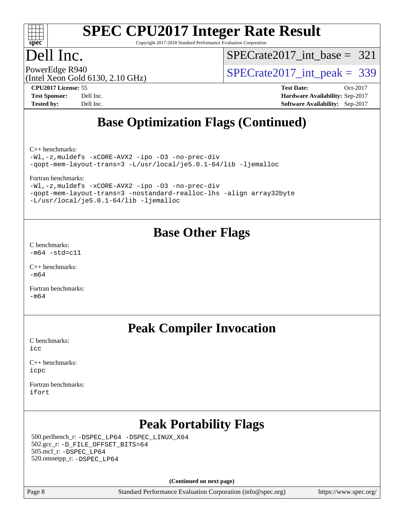

Copyright 2017-2018 Standard Performance Evaluation Corporation

### Dell Inc.

[SPECrate2017\\_int\\_base =](http://www.spec.org/auto/cpu2017/Docs/result-fields.html#SPECrate2017intbase) 321

(Intel Xeon Gold 6130, 2.10 GHz)

PowerEdge R940<br>  $\text{SPECrate2017\_int\_peak} = 339$ 

**[CPU2017 License:](http://www.spec.org/auto/cpu2017/Docs/result-fields.html#CPU2017License)** 55 **[Test Date:](http://www.spec.org/auto/cpu2017/Docs/result-fields.html#TestDate)** Oct-2017 **[Test Sponsor:](http://www.spec.org/auto/cpu2017/Docs/result-fields.html#TestSponsor)** Dell Inc. **[Hardware Availability:](http://www.spec.org/auto/cpu2017/Docs/result-fields.html#HardwareAvailability)** Sep-2017 **[Tested by:](http://www.spec.org/auto/cpu2017/Docs/result-fields.html#Testedby)** Dell Inc. **[Software Availability:](http://www.spec.org/auto/cpu2017/Docs/result-fields.html#SoftwareAvailability)** Sep-2017

### **[Base Optimization Flags \(Continued\)](http://www.spec.org/auto/cpu2017/Docs/result-fields.html#BaseOptimizationFlags)**

[C++ benchmarks:](http://www.spec.org/auto/cpu2017/Docs/result-fields.html#CXXbenchmarks)

[-Wl,-z,muldefs](http://www.spec.org/cpu2017/results/res2017q4/cpu2017-20171114-00622.flags.html#user_CXXbase_link_force_multiple1_b4cbdb97b34bdee9ceefcfe54f4c8ea74255f0b02a4b23e853cdb0e18eb4525ac79b5a88067c842dd0ee6996c24547a27a4b99331201badda8798ef8a743f577) [-xCORE-AVX2](http://www.spec.org/cpu2017/results/res2017q4/cpu2017-20171114-00622.flags.html#user_CXXbase_f-xCORE-AVX2) [-ipo](http://www.spec.org/cpu2017/results/res2017q4/cpu2017-20171114-00622.flags.html#user_CXXbase_f-ipo) [-O3](http://www.spec.org/cpu2017/results/res2017q4/cpu2017-20171114-00622.flags.html#user_CXXbase_f-O3) [-no-prec-div](http://www.spec.org/cpu2017/results/res2017q4/cpu2017-20171114-00622.flags.html#user_CXXbase_f-no-prec-div) [-qopt-mem-layout-trans=3](http://www.spec.org/cpu2017/results/res2017q4/cpu2017-20171114-00622.flags.html#user_CXXbase_f-qopt-mem-layout-trans_de80db37974c74b1f0e20d883f0b675c88c3b01e9d123adea9b28688d64333345fb62bc4a798493513fdb68f60282f9a726aa07f478b2f7113531aecce732043) [-L/usr/local/je5.0.1-64/lib](http://www.spec.org/cpu2017/results/res2017q4/cpu2017-20171114-00622.flags.html#user_CXXbase_jemalloc_link_path64_4b10a636b7bce113509b17f3bd0d6226c5fb2346b9178c2d0232c14f04ab830f976640479e5c33dc2bcbbdad86ecfb6634cbbd4418746f06f368b512fced5394) [-ljemalloc](http://www.spec.org/cpu2017/results/res2017q4/cpu2017-20171114-00622.flags.html#user_CXXbase_jemalloc_link_lib_d1249b907c500fa1c0672f44f562e3d0f79738ae9e3c4a9c376d49f265a04b9c99b167ecedbf6711b3085be911c67ff61f150a17b3472be731631ba4d0471706)

[Fortran benchmarks](http://www.spec.org/auto/cpu2017/Docs/result-fields.html#Fortranbenchmarks):

[-Wl,-z,muldefs](http://www.spec.org/cpu2017/results/res2017q4/cpu2017-20171114-00622.flags.html#user_FCbase_link_force_multiple1_b4cbdb97b34bdee9ceefcfe54f4c8ea74255f0b02a4b23e853cdb0e18eb4525ac79b5a88067c842dd0ee6996c24547a27a4b99331201badda8798ef8a743f577) [-xCORE-AVX2](http://www.spec.org/cpu2017/results/res2017q4/cpu2017-20171114-00622.flags.html#user_FCbase_f-xCORE-AVX2) [-ipo](http://www.spec.org/cpu2017/results/res2017q4/cpu2017-20171114-00622.flags.html#user_FCbase_f-ipo) [-O3](http://www.spec.org/cpu2017/results/res2017q4/cpu2017-20171114-00622.flags.html#user_FCbase_f-O3) [-no-prec-div](http://www.spec.org/cpu2017/results/res2017q4/cpu2017-20171114-00622.flags.html#user_FCbase_f-no-prec-div) [-qopt-mem-layout-trans=3](http://www.spec.org/cpu2017/results/res2017q4/cpu2017-20171114-00622.flags.html#user_FCbase_f-qopt-mem-layout-trans_de80db37974c74b1f0e20d883f0b675c88c3b01e9d123adea9b28688d64333345fb62bc4a798493513fdb68f60282f9a726aa07f478b2f7113531aecce732043) [-nostandard-realloc-lhs](http://www.spec.org/cpu2017/results/res2017q4/cpu2017-20171114-00622.flags.html#user_FCbase_f_2003_std_realloc_82b4557e90729c0f113870c07e44d33d6f5a304b4f63d4c15d2d0f1fab99f5daaed73bdb9275d9ae411527f28b936061aa8b9c8f2d63842963b95c9dd6426b8a) [-align array32byte](http://www.spec.org/cpu2017/results/res2017q4/cpu2017-20171114-00622.flags.html#user_FCbase_align_array32byte_b982fe038af199962ba9a80c053b8342c548c85b40b8e86eb3cc33dee0d7986a4af373ac2d51c3f7cf710a18d62fdce2948f201cd044323541f22fc0fffc51b6) [-L/usr/local/je5.0.1-64/lib](http://www.spec.org/cpu2017/results/res2017q4/cpu2017-20171114-00622.flags.html#user_FCbase_jemalloc_link_path64_4b10a636b7bce113509b17f3bd0d6226c5fb2346b9178c2d0232c14f04ab830f976640479e5c33dc2bcbbdad86ecfb6634cbbd4418746f06f368b512fced5394) [-ljemalloc](http://www.spec.org/cpu2017/results/res2017q4/cpu2017-20171114-00622.flags.html#user_FCbase_jemalloc_link_lib_d1249b907c500fa1c0672f44f562e3d0f79738ae9e3c4a9c376d49f265a04b9c99b167ecedbf6711b3085be911c67ff61f150a17b3472be731631ba4d0471706)

#### **[Base Other Flags](http://www.spec.org/auto/cpu2017/Docs/result-fields.html#BaseOtherFlags)**

[C benchmarks](http://www.spec.org/auto/cpu2017/Docs/result-fields.html#Cbenchmarks):  $-m64$   $-std=cl1$ 

 $C_{++}$  benchmarks: [-m64](http://www.spec.org/cpu2017/results/res2017q4/cpu2017-20171114-00622.flags.html#user_CXXbase_intel_intel64_18.0_af43caccfc8ded86e7699f2159af6efc7655f51387b94da716254467f3c01020a5059329e2569e4053f409e7c9202a7efc638f7a6d1ffb3f52dea4a3e31d82ab)

[Fortran benchmarks](http://www.spec.org/auto/cpu2017/Docs/result-fields.html#Fortranbenchmarks):  $-m64$ 

#### **[Peak Compiler Invocation](http://www.spec.org/auto/cpu2017/Docs/result-fields.html#PeakCompilerInvocation)**

[C benchmarks](http://www.spec.org/auto/cpu2017/Docs/result-fields.html#Cbenchmarks): [icc](http://www.spec.org/cpu2017/results/res2017q4/cpu2017-20171114-00622.flags.html#user_CCpeak_intel_icc_18.0_66fc1ee009f7361af1fbd72ca7dcefbb700085f36577c54f309893dd4ec40d12360134090235512931783d35fd58c0460139e722d5067c5574d8eaf2b3e37e92)

[C++ benchmarks:](http://www.spec.org/auto/cpu2017/Docs/result-fields.html#CXXbenchmarks) [icpc](http://www.spec.org/cpu2017/results/res2017q4/cpu2017-20171114-00622.flags.html#user_CXXpeak_intel_icpc_18.0_c510b6838c7f56d33e37e94d029a35b4a7bccf4766a728ee175e80a419847e808290a9b78be685c44ab727ea267ec2f070ec5dc83b407c0218cded6866a35d07)

[Fortran benchmarks](http://www.spec.org/auto/cpu2017/Docs/result-fields.html#Fortranbenchmarks): [ifort](http://www.spec.org/cpu2017/results/res2017q4/cpu2017-20171114-00622.flags.html#user_FCpeak_intel_ifort_18.0_8111460550e3ca792625aed983ce982f94888b8b503583aa7ba2b8303487b4d8a21a13e7191a45c5fd58ff318f48f9492884d4413fa793fd88dd292cad7027ca)

## **[Peak Portability Flags](http://www.spec.org/auto/cpu2017/Docs/result-fields.html#PeakPortabilityFlags)**

 500.perlbench\_r: [-DSPEC\\_LP64](http://www.spec.org/cpu2017/results/res2017q4/cpu2017-20171114-00622.flags.html#b500.perlbench_r_peakPORTABILITY_DSPEC_LP64) [-DSPEC\\_LINUX\\_X64](http://www.spec.org/cpu2017/results/res2017q4/cpu2017-20171114-00622.flags.html#b500.perlbench_r_peakCPORTABILITY_DSPEC_LINUX_X64) 502.gcc\_r: [-D\\_FILE\\_OFFSET\\_BITS=64](http://www.spec.org/cpu2017/results/res2017q4/cpu2017-20171114-00622.flags.html#user_peakPORTABILITY502_gcc_r_file_offset_bits_64_5ae949a99b284ddf4e95728d47cb0843d81b2eb0e18bdfe74bbf0f61d0b064f4bda2f10ea5eb90e1dcab0e84dbc592acfc5018bc955c18609f94ddb8d550002c) 505.mcf\_r: [-DSPEC\\_LP64](http://www.spec.org/cpu2017/results/res2017q4/cpu2017-20171114-00622.flags.html#suite_peakPORTABILITY505_mcf_r_DSPEC_LP64) 520.omnetpp\_r: [-DSPEC\\_LP64](http://www.spec.org/cpu2017/results/res2017q4/cpu2017-20171114-00622.flags.html#suite_peakPORTABILITY520_omnetpp_r_DSPEC_LP64)

**(Continued on next page)**

Page 8 Standard Performance Evaluation Corporation [\(info@spec.org\)](mailto:info@spec.org) <https://www.spec.org/>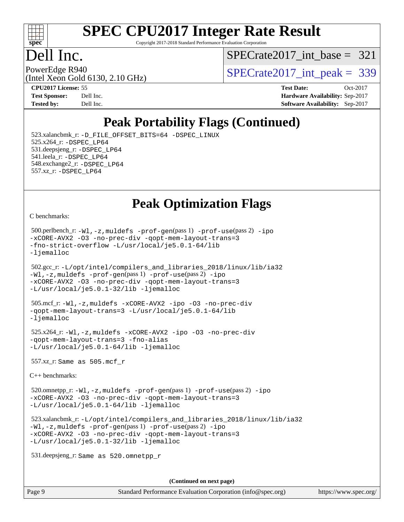

Copyright 2017-2018 Standard Performance Evaluation Corporation

#### Dell Inc.

[SPECrate2017\\_int\\_base =](http://www.spec.org/auto/cpu2017/Docs/result-fields.html#SPECrate2017intbase) 321

(Intel Xeon Gold 6130, 2.10 GHz)

PowerEdge R940<br>(Intel Year Gold 6130, 2.10 GHz)  $SPECTate2017\_int\_peak = 339$ 

**[CPU2017 License:](http://www.spec.org/auto/cpu2017/Docs/result-fields.html#CPU2017License)** 55 **[Test Date:](http://www.spec.org/auto/cpu2017/Docs/result-fields.html#TestDate)** Oct-2017 **[Test Sponsor:](http://www.spec.org/auto/cpu2017/Docs/result-fields.html#TestSponsor)** Dell Inc. **[Hardware Availability:](http://www.spec.org/auto/cpu2017/Docs/result-fields.html#HardwareAvailability)** Sep-2017 **[Tested by:](http://www.spec.org/auto/cpu2017/Docs/result-fields.html#Testedby)** Dell Inc. **[Software Availability:](http://www.spec.org/auto/cpu2017/Docs/result-fields.html#SoftwareAvailability)** Sep-2017

### **[Peak Portability Flags \(Continued\)](http://www.spec.org/auto/cpu2017/Docs/result-fields.html#PeakPortabilityFlags)**

 523.xalancbmk\_r: [-D\\_FILE\\_OFFSET\\_BITS=64](http://www.spec.org/cpu2017/results/res2017q4/cpu2017-20171114-00622.flags.html#user_peakPORTABILITY523_xalancbmk_r_file_offset_bits_64_5ae949a99b284ddf4e95728d47cb0843d81b2eb0e18bdfe74bbf0f61d0b064f4bda2f10ea5eb90e1dcab0e84dbc592acfc5018bc955c18609f94ddb8d550002c) [-DSPEC\\_LINUX](http://www.spec.org/cpu2017/results/res2017q4/cpu2017-20171114-00622.flags.html#b523.xalancbmk_r_peakCXXPORTABILITY_DSPEC_LINUX) 525.x264\_r: [-DSPEC\\_LP64](http://www.spec.org/cpu2017/results/res2017q4/cpu2017-20171114-00622.flags.html#suite_peakPORTABILITY525_x264_r_DSPEC_LP64) 531.deepsjeng\_r: [-DSPEC\\_LP64](http://www.spec.org/cpu2017/results/res2017q4/cpu2017-20171114-00622.flags.html#suite_peakPORTABILITY531_deepsjeng_r_DSPEC_LP64) 541.leela\_r: [-DSPEC\\_LP64](http://www.spec.org/cpu2017/results/res2017q4/cpu2017-20171114-00622.flags.html#suite_peakPORTABILITY541_leela_r_DSPEC_LP64) 548.exchange2\_r: [-DSPEC\\_LP64](http://www.spec.org/cpu2017/results/res2017q4/cpu2017-20171114-00622.flags.html#suite_peakPORTABILITY548_exchange2_r_DSPEC_LP64) 557.xz\_r: [-DSPEC\\_LP64](http://www.spec.org/cpu2017/results/res2017q4/cpu2017-20171114-00622.flags.html#suite_peakPORTABILITY557_xz_r_DSPEC_LP64)

#### **[Peak Optimization Flags](http://www.spec.org/auto/cpu2017/Docs/result-fields.html#PeakOptimizationFlags)**

[C benchmarks](http://www.spec.org/auto/cpu2017/Docs/result-fields.html#Cbenchmarks):

```
 500.perlbench_r: -Wl,-z,muldefs -prof-gen(pass 1) -prof-use(pass 2) -ipo
-xCORE-AVX2 -O3 -no-prec-div -qopt-mem-layout-trans=3
-fno-strict-overflow -L/usr/local/je5.0.1-64/lib
-ljemalloc
```

```
 502.gcc_r: -L/opt/intel/compilers_and_libraries_2018/linux/lib/ia32
-Wl,-z,muldefs -prof-gen(pass 1) -prof-use(pass 2) -ipo
-xCORE-AVX2 -O3 -no-prec-div -qopt-mem-layout-trans=3
-L/usr/local/je5.0.1-32/lib -ljemalloc
```
 505.mcf\_r: [-Wl,-z,muldefs](http://www.spec.org/cpu2017/results/res2017q4/cpu2017-20171114-00622.flags.html#user_peakEXTRA_LDFLAGS505_mcf_r_link_force_multiple1_b4cbdb97b34bdee9ceefcfe54f4c8ea74255f0b02a4b23e853cdb0e18eb4525ac79b5a88067c842dd0ee6996c24547a27a4b99331201badda8798ef8a743f577) [-xCORE-AVX2](http://www.spec.org/cpu2017/results/res2017q4/cpu2017-20171114-00622.flags.html#user_peakCOPTIMIZE505_mcf_r_f-xCORE-AVX2) [-ipo](http://www.spec.org/cpu2017/results/res2017q4/cpu2017-20171114-00622.flags.html#user_peakCOPTIMIZE505_mcf_r_f-ipo) [-O3](http://www.spec.org/cpu2017/results/res2017q4/cpu2017-20171114-00622.flags.html#user_peakCOPTIMIZE505_mcf_r_f-O3) [-no-prec-div](http://www.spec.org/cpu2017/results/res2017q4/cpu2017-20171114-00622.flags.html#user_peakCOPTIMIZE505_mcf_r_f-no-prec-div) [-qopt-mem-layout-trans=3](http://www.spec.org/cpu2017/results/res2017q4/cpu2017-20171114-00622.flags.html#user_peakCOPTIMIZE505_mcf_r_f-qopt-mem-layout-trans_de80db37974c74b1f0e20d883f0b675c88c3b01e9d123adea9b28688d64333345fb62bc4a798493513fdb68f60282f9a726aa07f478b2f7113531aecce732043) [-L/usr/local/je5.0.1-64/lib](http://www.spec.org/cpu2017/results/res2017q4/cpu2017-20171114-00622.flags.html#user_peakEXTRA_LIBS505_mcf_r_jemalloc_link_path64_4b10a636b7bce113509b17f3bd0d6226c5fb2346b9178c2d0232c14f04ab830f976640479e5c33dc2bcbbdad86ecfb6634cbbd4418746f06f368b512fced5394) [-ljemalloc](http://www.spec.org/cpu2017/results/res2017q4/cpu2017-20171114-00622.flags.html#user_peakEXTRA_LIBS505_mcf_r_jemalloc_link_lib_d1249b907c500fa1c0672f44f562e3d0f79738ae9e3c4a9c376d49f265a04b9c99b167ecedbf6711b3085be911c67ff61f150a17b3472be731631ba4d0471706)

 525.x264\_r: [-Wl,-z,muldefs](http://www.spec.org/cpu2017/results/res2017q4/cpu2017-20171114-00622.flags.html#user_peakEXTRA_LDFLAGS525_x264_r_link_force_multiple1_b4cbdb97b34bdee9ceefcfe54f4c8ea74255f0b02a4b23e853cdb0e18eb4525ac79b5a88067c842dd0ee6996c24547a27a4b99331201badda8798ef8a743f577) [-xCORE-AVX2](http://www.spec.org/cpu2017/results/res2017q4/cpu2017-20171114-00622.flags.html#user_peakCOPTIMIZE525_x264_r_f-xCORE-AVX2) [-ipo](http://www.spec.org/cpu2017/results/res2017q4/cpu2017-20171114-00622.flags.html#user_peakCOPTIMIZE525_x264_r_f-ipo) [-O3](http://www.spec.org/cpu2017/results/res2017q4/cpu2017-20171114-00622.flags.html#user_peakCOPTIMIZE525_x264_r_f-O3) [-no-prec-div](http://www.spec.org/cpu2017/results/res2017q4/cpu2017-20171114-00622.flags.html#user_peakCOPTIMIZE525_x264_r_f-no-prec-div) [-qopt-mem-layout-trans=3](http://www.spec.org/cpu2017/results/res2017q4/cpu2017-20171114-00622.flags.html#user_peakCOPTIMIZE525_x264_r_f-qopt-mem-layout-trans_de80db37974c74b1f0e20d883f0b675c88c3b01e9d123adea9b28688d64333345fb62bc4a798493513fdb68f60282f9a726aa07f478b2f7113531aecce732043) [-fno-alias](http://www.spec.org/cpu2017/results/res2017q4/cpu2017-20171114-00622.flags.html#user_peakEXTRA_OPTIMIZE525_x264_r_f-no-alias_77dbac10d91cbfe898fbf4a29d1b29b694089caa623bdd1baccc9957d4edbe8d106c0b357e2748a65b44fc9e83d78098bb898077f3fe92f9faf24f7bd4a07ed7) [-L/usr/local/je5.0.1-64/lib](http://www.spec.org/cpu2017/results/res2017q4/cpu2017-20171114-00622.flags.html#user_peakEXTRA_LIBS525_x264_r_jemalloc_link_path64_4b10a636b7bce113509b17f3bd0d6226c5fb2346b9178c2d0232c14f04ab830f976640479e5c33dc2bcbbdad86ecfb6634cbbd4418746f06f368b512fced5394) [-ljemalloc](http://www.spec.org/cpu2017/results/res2017q4/cpu2017-20171114-00622.flags.html#user_peakEXTRA_LIBS525_x264_r_jemalloc_link_lib_d1249b907c500fa1c0672f44f562e3d0f79738ae9e3c4a9c376d49f265a04b9c99b167ecedbf6711b3085be911c67ff61f150a17b3472be731631ba4d0471706)

557.xz\_r: Same as 505.mcf\_r

[C++ benchmarks:](http://www.spec.org/auto/cpu2017/Docs/result-fields.html#CXXbenchmarks)

 520.omnetpp\_r: [-Wl,-z,muldefs](http://www.spec.org/cpu2017/results/res2017q4/cpu2017-20171114-00622.flags.html#user_peakEXTRA_LDFLAGS520_omnetpp_r_link_force_multiple1_b4cbdb97b34bdee9ceefcfe54f4c8ea74255f0b02a4b23e853cdb0e18eb4525ac79b5a88067c842dd0ee6996c24547a27a4b99331201badda8798ef8a743f577) [-prof-gen](http://www.spec.org/cpu2017/results/res2017q4/cpu2017-20171114-00622.flags.html#user_peakPASS1_CXXFLAGSPASS1_LDFLAGS520_omnetpp_r_prof_gen_5aa4926d6013ddb2a31985c654b3eb18169fc0c6952a63635c234f711e6e63dd76e94ad52365559451ec499a2cdb89e4dc58ba4c67ef54ca681ffbe1461d6b36)(pass 1) [-prof-use](http://www.spec.org/cpu2017/results/res2017q4/cpu2017-20171114-00622.flags.html#user_peakPASS2_CXXFLAGSPASS2_LDFLAGS520_omnetpp_r_prof_use_1a21ceae95f36a2b53c25747139a6c16ca95bd9def2a207b4f0849963b97e94f5260e30a0c64f4bb623698870e679ca08317ef8150905d41bd88c6f78df73f19)(pass 2) [-ipo](http://www.spec.org/cpu2017/results/res2017q4/cpu2017-20171114-00622.flags.html#user_peakPASS1_CXXOPTIMIZEPASS2_CXXOPTIMIZE520_omnetpp_r_f-ipo) [-xCORE-AVX2](http://www.spec.org/cpu2017/results/res2017q4/cpu2017-20171114-00622.flags.html#user_peakPASS2_CXXOPTIMIZE520_omnetpp_r_f-xCORE-AVX2) [-O3](http://www.spec.org/cpu2017/results/res2017q4/cpu2017-20171114-00622.flags.html#user_peakPASS1_CXXOPTIMIZEPASS2_CXXOPTIMIZE520_omnetpp_r_f-O3) [-no-prec-div](http://www.spec.org/cpu2017/results/res2017q4/cpu2017-20171114-00622.flags.html#user_peakPASS1_CXXOPTIMIZEPASS2_CXXOPTIMIZE520_omnetpp_r_f-no-prec-div) [-qopt-mem-layout-trans=3](http://www.spec.org/cpu2017/results/res2017q4/cpu2017-20171114-00622.flags.html#user_peakPASS1_CXXOPTIMIZEPASS2_CXXOPTIMIZE520_omnetpp_r_f-qopt-mem-layout-trans_de80db37974c74b1f0e20d883f0b675c88c3b01e9d123adea9b28688d64333345fb62bc4a798493513fdb68f60282f9a726aa07f478b2f7113531aecce732043) [-L/usr/local/je5.0.1-64/lib](http://www.spec.org/cpu2017/results/res2017q4/cpu2017-20171114-00622.flags.html#user_peakEXTRA_LIBS520_omnetpp_r_jemalloc_link_path64_4b10a636b7bce113509b17f3bd0d6226c5fb2346b9178c2d0232c14f04ab830f976640479e5c33dc2bcbbdad86ecfb6634cbbd4418746f06f368b512fced5394) [-ljemalloc](http://www.spec.org/cpu2017/results/res2017q4/cpu2017-20171114-00622.flags.html#user_peakEXTRA_LIBS520_omnetpp_r_jemalloc_link_lib_d1249b907c500fa1c0672f44f562e3d0f79738ae9e3c4a9c376d49f265a04b9c99b167ecedbf6711b3085be911c67ff61f150a17b3472be731631ba4d0471706)

 523.xalancbmk\_r: [-L/opt/intel/compilers\\_and\\_libraries\\_2018/linux/lib/ia32](http://www.spec.org/cpu2017/results/res2017q4/cpu2017-20171114-00622.flags.html#user_peakCXXLD523_xalancbmk_r_Enable-32bit-runtime_af243bdb1d79e4c7a4f720bf8275e627de2ecd461de63307bc14cef0633fde3cd7bb2facb32dcc8be9566045fb55d40ce2b72b725f73827aa7833441b71b9343) [-Wl,-z,muldefs](http://www.spec.org/cpu2017/results/res2017q4/cpu2017-20171114-00622.flags.html#user_peakEXTRA_LDFLAGS523_xalancbmk_r_link_force_multiple1_b4cbdb97b34bdee9ceefcfe54f4c8ea74255f0b02a4b23e853cdb0e18eb4525ac79b5a88067c842dd0ee6996c24547a27a4b99331201badda8798ef8a743f577) [-prof-gen](http://www.spec.org/cpu2017/results/res2017q4/cpu2017-20171114-00622.flags.html#user_peakPASS1_CXXFLAGSPASS1_LDFLAGS523_xalancbmk_r_prof_gen_5aa4926d6013ddb2a31985c654b3eb18169fc0c6952a63635c234f711e6e63dd76e94ad52365559451ec499a2cdb89e4dc58ba4c67ef54ca681ffbe1461d6b36)(pass 1) [-prof-use](http://www.spec.org/cpu2017/results/res2017q4/cpu2017-20171114-00622.flags.html#user_peakPASS2_CXXFLAGSPASS2_LDFLAGS523_xalancbmk_r_prof_use_1a21ceae95f36a2b53c25747139a6c16ca95bd9def2a207b4f0849963b97e94f5260e30a0c64f4bb623698870e679ca08317ef8150905d41bd88c6f78df73f19)(pass 2) [-ipo](http://www.spec.org/cpu2017/results/res2017q4/cpu2017-20171114-00622.flags.html#user_peakPASS1_CXXOPTIMIZEPASS2_CXXOPTIMIZE523_xalancbmk_r_f-ipo) [-xCORE-AVX2](http://www.spec.org/cpu2017/results/res2017q4/cpu2017-20171114-00622.flags.html#user_peakPASS2_CXXOPTIMIZE523_xalancbmk_r_f-xCORE-AVX2) [-O3](http://www.spec.org/cpu2017/results/res2017q4/cpu2017-20171114-00622.flags.html#user_peakPASS1_CXXOPTIMIZEPASS2_CXXOPTIMIZE523_xalancbmk_r_f-O3) [-no-prec-div](http://www.spec.org/cpu2017/results/res2017q4/cpu2017-20171114-00622.flags.html#user_peakPASS1_CXXOPTIMIZEPASS2_CXXOPTIMIZE523_xalancbmk_r_f-no-prec-div) [-qopt-mem-layout-trans=3](http://www.spec.org/cpu2017/results/res2017q4/cpu2017-20171114-00622.flags.html#user_peakPASS1_CXXOPTIMIZEPASS2_CXXOPTIMIZE523_xalancbmk_r_f-qopt-mem-layout-trans_de80db37974c74b1f0e20d883f0b675c88c3b01e9d123adea9b28688d64333345fb62bc4a798493513fdb68f60282f9a726aa07f478b2f7113531aecce732043) [-L/usr/local/je5.0.1-32/lib](http://www.spec.org/cpu2017/results/res2017q4/cpu2017-20171114-00622.flags.html#user_peakEXTRA_LIBS523_xalancbmk_r_jemalloc_link_path32_e29f22e8e6c17053bbc6a0971f5a9c01a601a06bb1a59df2084b77a2fe0a2995b64fd4256feaeea39eeba3aae142e96e2b2b0a28974019c0c0c88139a84f900a) [-ljemalloc](http://www.spec.org/cpu2017/results/res2017q4/cpu2017-20171114-00622.flags.html#user_peakEXTRA_LIBS523_xalancbmk_r_jemalloc_link_lib_d1249b907c500fa1c0672f44f562e3d0f79738ae9e3c4a9c376d49f265a04b9c99b167ecedbf6711b3085be911c67ff61f150a17b3472be731631ba4d0471706)

531.deepsjeng\_r: Same as 520.omnetpp\_r

**(Continued on next page)**